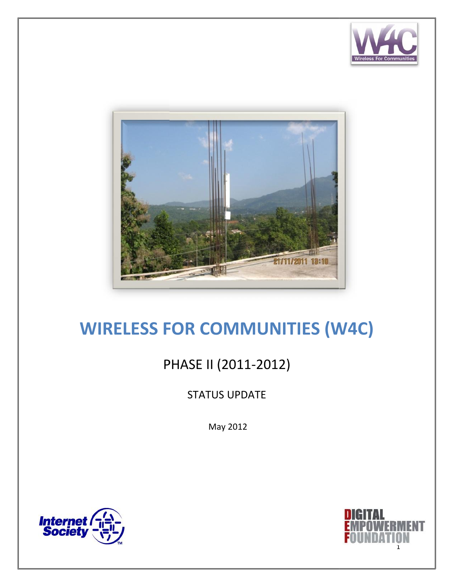



# **WIRELESS FOR COMMUNITIES (W4C) WIRELESS**

## PHASE II (2011-2012) (2011-2012)

## STATUS UPDATE

May 2012



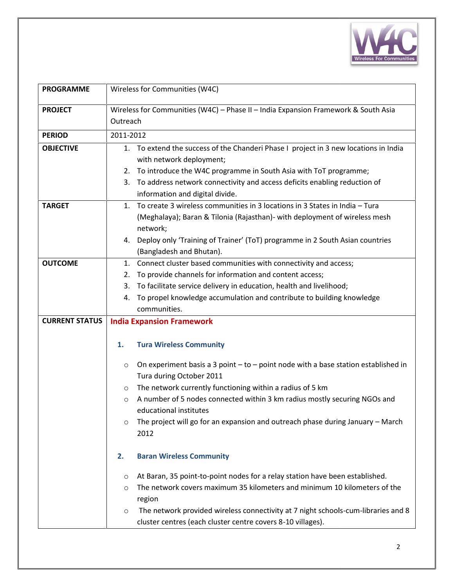

| <b>PROGRAMME</b>      | Wireless for Communities (W4C)                                                                                      |
|-----------------------|---------------------------------------------------------------------------------------------------------------------|
| <b>PROJECT</b>        | Wireless for Communities (W4C) - Phase II - India Expansion Framework & South Asia<br>Outreach                      |
| <b>PERIOD</b>         | 2011-2012                                                                                                           |
| <b>OBJECTIVE</b>      | To extend the success of the Chanderi Phase I project in 3 new locations in India<br>1.<br>with network deployment; |
|                       | To introduce the W4C programme in South Asia with ToT programme;<br>2.                                              |
|                       | To address network connectivity and access deficits enabling reduction of<br>3.                                     |
|                       | information and digital divide.                                                                                     |
| <b>TARGET</b>         | To create 3 wireless communities in 3 locations in 3 States in India - Tura<br>$1_{-}$                              |
|                       | (Meghalaya); Baran & Tilonia (Rajasthan) - with deployment of wireless mesh<br>network;                             |
|                       | Deploy only 'Training of Trainer' (ToT) programme in 2 South Asian countries<br>4.<br>(Bangladesh and Bhutan).      |
| <b>OUTCOME</b>        | Connect cluster based communities with connectivity and access;<br>1.                                               |
|                       | To provide channels for information and content access;<br>2.                                                       |
|                       | To facilitate service delivery in education, health and livelihood;<br>3.                                           |
|                       | To propel knowledge accumulation and contribute to building knowledge<br>4.                                         |
|                       | communities.                                                                                                        |
| <b>CURRENT STATUS</b> | <b>India Expansion Framework</b>                                                                                    |
|                       | <b>Tura Wireless Community</b><br>1.                                                                                |
|                       | On experiment basis a 3 point $-$ to $-$ point node with a base station established in<br>O                         |
|                       | Tura during October 2011                                                                                            |
|                       | The network currently functioning within a radius of 5 km<br>O                                                      |
|                       | A number of 5 nodes connected within 3 km radius mostly securing NGOs and<br>$\circ$                                |
|                       | educational institutes                                                                                              |
|                       | The project will go for an expansion and outreach phase during January - March<br>O<br>2012                         |
|                       | 2.<br><b>Baran Wireless Community</b>                                                                               |
|                       | At Baran, 35 point-to-point nodes for a relay station have been established.<br>O                                   |
|                       | The network covers maximum 35 kilometers and minimum 10 kilometers of the<br>O                                      |
|                       | region                                                                                                              |
|                       | The network provided wireless connectivity at 7 night schools-cum-libraries and 8<br>$\circ$                        |
|                       | cluster centres (each cluster centre covers 8-10 villages).                                                         |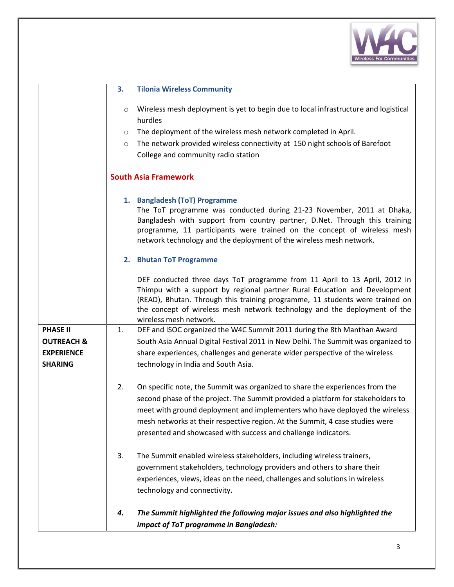

|                       | 3.<br><b>Tilonia Wireless Community</b>                                                                                                                                                                                                                                                                                                       |
|-----------------------|-----------------------------------------------------------------------------------------------------------------------------------------------------------------------------------------------------------------------------------------------------------------------------------------------------------------------------------------------|
|                       | Wireless mesh deployment is yet to begin due to local infrastructure and logistical<br>$\circ$                                                                                                                                                                                                                                                |
|                       | hurdles                                                                                                                                                                                                                                                                                                                                       |
|                       | The deployment of the wireless mesh network completed in April.<br>$\circ$                                                                                                                                                                                                                                                                    |
|                       | The network provided wireless connectivity at 150 night schools of Barefoot<br>$\circ$                                                                                                                                                                                                                                                        |
|                       | College and community radio station                                                                                                                                                                                                                                                                                                           |
|                       | <b>South Asia Framework</b>                                                                                                                                                                                                                                                                                                                   |
|                       | 1. Bangladesh (ToT) Programme<br>The ToT programme was conducted during 21-23 November, 2011 at Dhaka,<br>Bangladesh with support from country partner, D.Net. Through this training<br>programme, 11 participants were trained on the concept of wireless mesh                                                                               |
|                       | network technology and the deployment of the wireless mesh network.                                                                                                                                                                                                                                                                           |
|                       | 2. Bhutan ToT Programme                                                                                                                                                                                                                                                                                                                       |
|                       | DEF conducted three days ToT programme from 11 April to 13 April, 2012 in<br>Thimpu with a support by regional partner Rural Education and Development<br>(READ), Bhutan. Through this training programme, 11 students were trained on<br>the concept of wireless mesh network technology and the deployment of the<br>wireless mesh network. |
| <b>PHASE II</b>       | DEF and ISOC organized the W4C Summit 2011 during the 8th Manthan Award<br>1.                                                                                                                                                                                                                                                                 |
| <b>OUTREACH &amp;</b> | South Asia Annual Digital Festival 2011 in New Delhi. The Summit was organized to                                                                                                                                                                                                                                                             |
| <b>EXPERIENCE</b>     | share experiences, challenges and generate wider perspective of the wireless                                                                                                                                                                                                                                                                  |
| <b>SHARING</b>        | technology in India and South Asia.                                                                                                                                                                                                                                                                                                           |
|                       | On specific note, the Summit was organized to share the experiences from the<br>2.<br>second phase of the project. The Summit provided a platform for stakeholders to<br>meet with ground deployment and implementers who have deployed the wireless<br>mesh networks at their respective region. At the Summit, 4 case studies were          |
|                       | presented and showcased with success and challenge indicators.                                                                                                                                                                                                                                                                                |
|                       | The Summit enabled wireless stakeholders, including wireless trainers,<br>3.                                                                                                                                                                                                                                                                  |
|                       | government stakeholders, technology providers and others to share their                                                                                                                                                                                                                                                                       |
|                       | experiences, views, ideas on the need, challenges and solutions in wireless<br>technology and connectivity.                                                                                                                                                                                                                                   |
|                       | The Summit highlighted the following major issues and also highlighted the<br>4.                                                                                                                                                                                                                                                              |
|                       | impact of ToT programme in Bangladesh:                                                                                                                                                                                                                                                                                                        |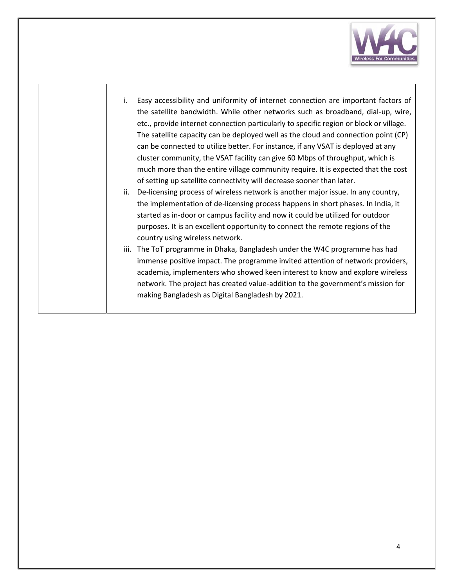

- i. Easy accessibility and uniformity of internet connection are important factors of  $|$ the satellite bandwidth. While other networks such as broadband, dial-up, wire, etc., provide internet connection particularly to specific region or block or village. The satellite capacity can be deployed well as the cloud and connection point (CP)  $\; \; | \; \;$ can be connected to utilize better. For instance, if any VSAT is deployed at any cluster community, the VSAT facility can give 60 Mbps of throughput, which is much more than the entire village community require. It is expected that the cost of setting up satellite connectivity will decrease sooner than later. atellite bandwidth. While other networks such as broadband, dial-up, wire,<br>provide internet connection particularly to specific region or block or village.<br>atellite capacity can be deployed well as the cloud and connection
- ii. De-licensing process of wireless network is another major issue. In any country, the implementation of de-licensing process happens in short phases. In India, it started as in-door or campus facility and now it could be utilized for outdoor purposes. It is an excellent opportunity to connect the remote regions of the country using wireless network. cluster community, the VSAT facility can give 60 Mbps of throughput, which<br>much more than the entire village community require. It is expected that the<br>of setting up satellite connectivity will decrease sooner than later.<br> can be deployed well as the cloud and connectic<br>utilize better. For instance, if any VSAT is deploye<br>e VSAT facility can give 60 Mbps of throughput,<br>entire village community require. It is expected t<br>connectivity will decr
- iii. The ToT programme in Dhaka, Bangladesh under the W4C programme has had The ToT programme in Dhaka, Bangladesh under the W4C programme has had<br>immense positive impact. The programme invited attention of network providers, academia, implementers who showed keen interest to know and explore wireless network. The project has created value-addition to the government's mission for making Bangladesh as Digital Bangladesh by 2021.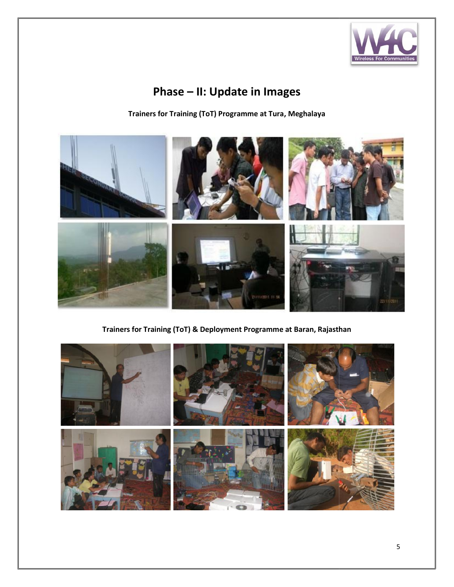

## **Phase – II: Update in Images**

**Trainers for Training (ToT) Programme at Tura, Meghalaya**



**Trainers for Training (ToT) & Deployment Programme at Baran, Rajasthan**

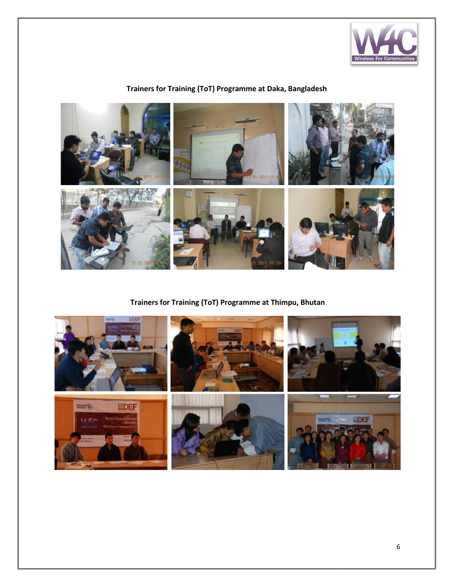

### **Trainers for Training (ToT) Programme at Daka, Bangladesh**



**Trainers for Training (ToT) Programme at Thimpu, Bhutan**

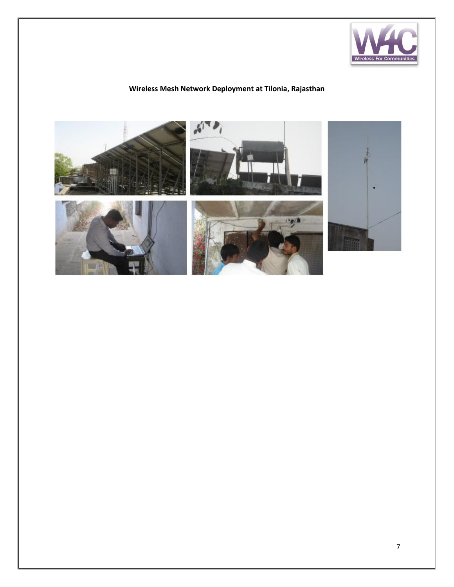

### **Wireless Mesh Network Deployment at Tilonia, Rajasthan**